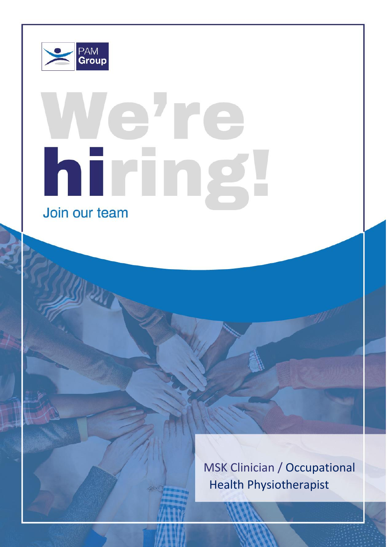

# a're hiring Join our team

MSK Clinician / Occupational Health Physiotherapist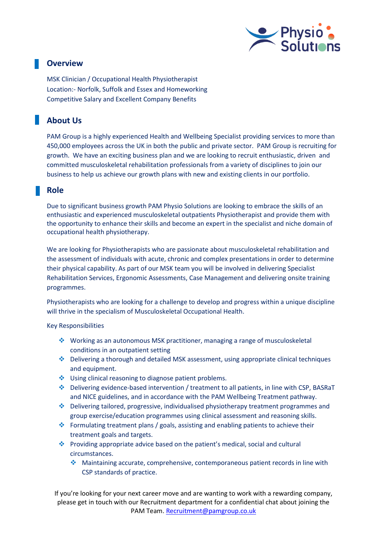

# **Overview**

MSK Clinician / Occupational Health Physiotherapist Location:- Norfolk, Suffolk and Essex and Homeworking Competitive Salary and Excellent Company Benefits

# **About Us**

PAM Group is a highly experienced Health and Wellbeing Specialist providing services to more than 450,000 employees across the UK in both the public and private sector. PAM Group is recruiting for growth. We have an exciting business plan and we are looking to recruit enthusiastic, driven and committed musculoskeletal rehabilitation professionals from a variety of disciplines to join our business to help us achieve our growth plans with new and existing clients in our portfolio.

# **Role**

Due to significant business growth PAM Physio Solutions are looking to embrace the skills of an enthusiastic and experienced musculoskeletal outpatients Physiotherapist and provide them with the opportunity to enhance their skills and become an expert in the specialist and niche domain of occupational health physiotherapy.

We are looking for Physiotherapists who are passionate about musculoskeletal rehabilitation and the assessment of individuals with acute, chronic and complex presentations in order to determine their physical capability. As part of our MSK team you will be involved in delivering Specialist Rehabilitation Services, Ergonomic Assessments, Case Management and delivering onsite training programmes.

Physiotherapists who are looking for a challenge to develop and progress within a unique discipline will thrive in the specialism of Musculoskeletal Occupational Health.

### Key Responsibilities

- ❖ Working as an autonomous MSK practitioner, managing a range of musculoskeletal conditions in an outpatient setting
- ❖ Delivering a thorough and detailed MSK assessment, using appropriate clinical techniques and equipment.
- ❖ Using clinical reasoning to diagnose patient problems.
- ❖ Delivering evidence-based intervention / treatment to all patients, in line with CSP, BASRaT and NICE guidelines, and in accordance with the PAM Wellbeing Treatment pathway.
- ❖ Delivering tailored, progressive, individualised physiotherapy treatment programmes and group exercise/education programmes using clinical assessment and reasoning skills.
- ❖ Formulating treatment plans / goals, assisting and enabling patients to achieve their treatment goals and targets.
- ❖ Providing appropriate advice based on the patient's medical, social and cultural circumstances.
	- ❖ Maintaining accurate, comprehensive, contemporaneous patient records in line with CSP standards of practice.

If you're looking for your next career move and are wanting to work with a rewarding company, please get in touch with our Recruitment department for a confidential chat about joining the PAM Team. [Recruitment@pamgroup.co.uk](mailto:Recruitment@pamgroup.co.uk)